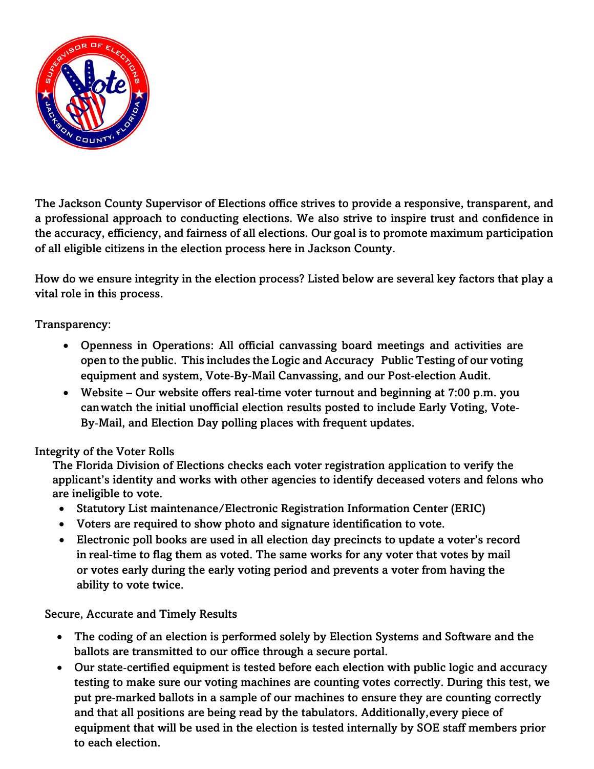

The Jackson County Supervisor of Elections office strives to provide a responsive, transparent, and a professional approach to conducting elections. We also strive to inspire trust and confidence in the accuracy, efficiency, and fairness of all elections. Our goal is to promote maximum participation of all eligible citizens in the election process here in Jackson County.

How do we ensure integrity in the election process? Listed below are several key factors that play a vital role in this process.

Transparency:

- Openness in Operations: All official canvassing board meetings and activities are open to the public. This includes the Logic and Accuracy Public Testing of our voting equipment and system, Vote‐By‐Mail Canvassing, and our Post‐election Audit.
- Website Our website offers real-time voter turnout and beginning at 7:00 p.m. you can watch the initial unofficial election results posted to include Early Voting, Vote‐ By‐Mail, and Election Day polling places with frequent updates.

Integrity of the Voter Rolls

The Florida Division of Elections checks each voter registration application to verify the applicant's identity and works with other agencies to identify deceased voters and felons who are ineligible to vote.

- Statutory List maintenance/Electronic Registration Information Center (ERIC)
- Voters are required to show photo and signature identification to vote.
- Electronic poll books are used in all election day precincts to update a voter's record in real-time to flag them as voted. The same works for any voter that votes by mail or votes early during the early voting period and prevents a voter from having the ability to vote twice.

Secure, Accurate and Timely Results

- The coding of an election is performed solely by Election Systems and Software and the ballots are transmitted to our office through a secure portal.
- Our state-certified equipment is tested before each election with public logic and accuracy testing to make sure our voting machines are counting votes correctly. During this test, we put pre‐marked ballots in a sample of our machines to ensure they are counting correctly and that all positions are being read by the tabulators. Additionally,every piece of equipment that will be used in the election is tested internally by SOE staff members prior to each election.